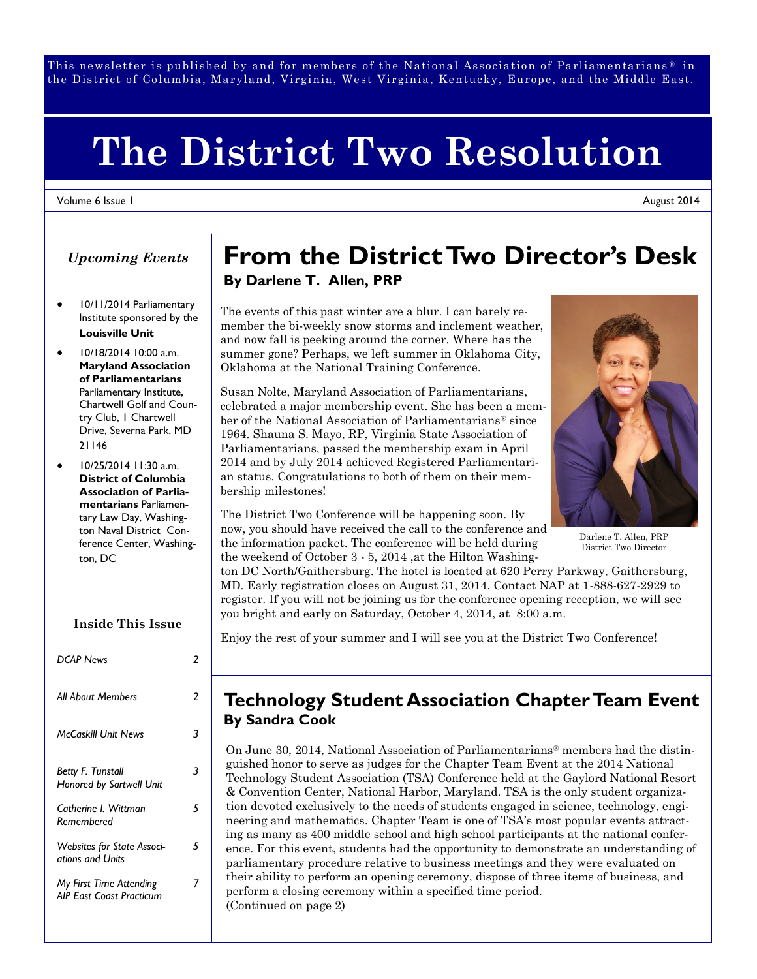This newsletter is published by and for members of the National Association of Parliamentarians  $^\circ$  in the District of Columbia, Maryland, Virginia, West Virginia, Kentucky, Europe, and the Middle East.

# **The District Two Resolution**

#### Volume 6 Issue 1

### *Upcoming Events*

- 10/11/2014 Parliamentary Institute sponsored by the **Louisville Unit**
- 10/18/2014 10:00 a.m. **Maryland Association of Parliamentarians** Parliamentary Institute, Chartwell Golf and Country Club, 1 Chartwell Drive, Severna Park, MD 21146
- 10/25/2014 11:30 a.m. **District of Columbia Association of Parliamentarians** Parliamentary Law Day, Washington Naval District Conference Center, Washington, DC

#### **Inside This Issue**

| <b>DCAP News</b>                                           | 2 |
|------------------------------------------------------------|---|
| All About Members                                          | 2 |
| <b>McCaskill Unit News</b>                                 | 3 |
| <b>Betty F. Tunstall</b><br>Honored by Sartwell Unit       | 3 |
| Catherine I. Wittman<br>Remembered                         | 5 |
| <b>Websites for State Associ-</b><br>ations and Units      | 5 |
| My First Time Attending<br><b>AIP East Coast Practicum</b> |   |

# **From the District Two Director's Desk By Darlene T. Allen, PRP**

The events of this past winter are a blur. I can barely remember the bi-weekly snow storms and inclement weather, and now fall is peeking around the corner. Where has the summer gone? Perhaps, we left summer in Oklahoma City, Oklahoma at the National Training Conference.

Susan Nolte, Maryland Association of Parliamentarians, celebrated a major membership event. She has been a member of the National Association of Parliamentarians® since 1964. Shauna S. Mayo, RP, Virginia State Association of Parliamentarians, passed the membership exam in April 2014 and by July 2014 achieved Registered Parliamentarian status. Congratulations to both of them on their membership milestones!



Darlene T. Allen, PRP District Two Director

The District Two Conference will be happening soon. By now, you should have received the call to the conference and the information packet. The conference will be held during the weekend of October 3 - 5, 2014 ,at the Hilton Washing-

ton DC North/Gaithersburg. The hotel is located at 620 Perry Parkway, Gaithersburg, MD. Early registration closes on August 31, 2014. Contact NAP at 1-888-627-2929 to register. If you will not be joining us for the conference opening reception, we will see you bright and early on Saturday, October 4, 2014, at 8:00 a.m.

Enjoy the rest of your summer and I will see you at the District Two Conference!

### **Technology Student Association Chapter Team Event By Sandra Cook**

On June 30, 2014, National Association of Parliamentarians® members had the distinguished honor to serve as judges for the Chapter Team Event at the 2014 National Technology Student Association (TSA) Conference held at the Gaylord National Resort & Convention Center, National Harbor, Maryland. TSA is the only student organization devoted exclusively to the needs of students engaged in science, technology, engineering and mathematics. Chapter Team is one of TSA's most popular events attracting as many as 400 middle school and high school participants at the national conference. For this event, students had the opportunity to demonstrate an understanding of parliamentary procedure relative to business meetings and they were evaluated on their ability to perform an opening ceremony, dispose of three items of business, and perform a closing ceremony within a specified time period. (Continued on page 2)

August 2014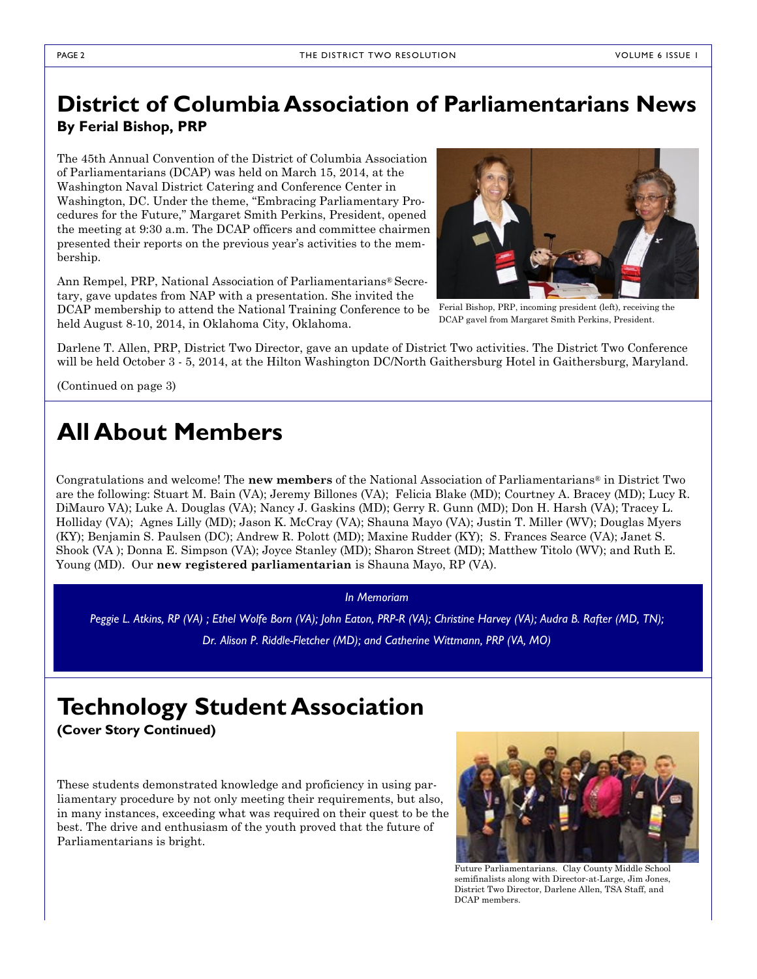# **District of Columbia Association of Parliamentarians News By Ferial Bishop, PRP**

The 45th Annual Convention of the District of Columbia Association of Parliamentarians (DCAP) was held on March 15, 2014, at the Washington Naval District Catering and Conference Center in Washington, DC. Under the theme, "Embracing Parliamentary Procedures for the Future," Margaret Smith Perkins, President, opened the meeting at 9:30 a.m. The DCAP officers and committee chairmen presented their reports on the previous year's activities to the membership.

Ann Rempel, PRP, National Association of Parliamentarians® Secretary, gave updates from NAP with a presentation. She invited the DCAP membership to attend the National Training Conference to be Ferial Bishop, PRP, incoming president (left), receiving the held August 8-10, 2014, in Oklahoma City, Oklahoma.



DCAP gavel from Margaret Smith Perkins, President.

Darlene T. Allen, PRP, District Two Director, gave an update of District Two activities. The District Two Conference will be held October 3 - 5, 2014, at the Hilton Washington DC/North Gaithersburg Hotel in Gaithersburg, Maryland.

(Continued on page 3)

# **All About Members**

Congratulations and welcome! The **new members** of the National Association of Parliamentarians® in District Two are the following: Stuart M. Bain (VA); Jeremy Billones (VA); Felicia Blake (MD); Courtney A. Bracey (MD); Lucy R. DiMauro VA); Luke A. Douglas (VA); Nancy J. Gaskins (MD); Gerry R. Gunn (MD); Don H. Harsh (VA); Tracey L. Holliday (VA); Agnes Lilly (MD); Jason K. McCray (VA); Shauna Mayo (VA); Justin T. Miller (WV); Douglas Myers (KY); Benjamin S. Paulsen (DC); Andrew R. Polott (MD); Maxine Rudder (KY); S. Frances Searce (VA); Janet S. Shook (VA ); Donna E. Simpson (VA); Joyce Stanley (MD); Sharon Street (MD); Matthew Titolo (WV); and Ruth E. Young (MD). Our **new registered parliamentarian** is Shauna Mayo, RP (VA).

#### *In Memoriam*

*Peggie L. Atkins, RP (VA) ; Ethel Wolfe Born (VA); John Eaton, PRP-R (VA); Christine Harvey (VA); Audra B. Rafter (MD, TN); Dr. Alison P. Riddle-Fletcher (MD); and Catherine Wittmann, PRP (VA, MO)*

# **Technology Student Association**

**(Cover Story Continued)**

These students demonstrated knowledge and proficiency in using parliamentary procedure by not only meeting their requirements, but also, in many instances, exceeding what was required on their quest to be the best. The drive and enthusiasm of the youth proved that the future of Parliamentarians is bright.



Future Parliamentarians. Clay County Middle School semifinalists along with Director-at-Large, Jim Jones, District Two Director, Darlene Allen, TSA Staff, and DCAP members.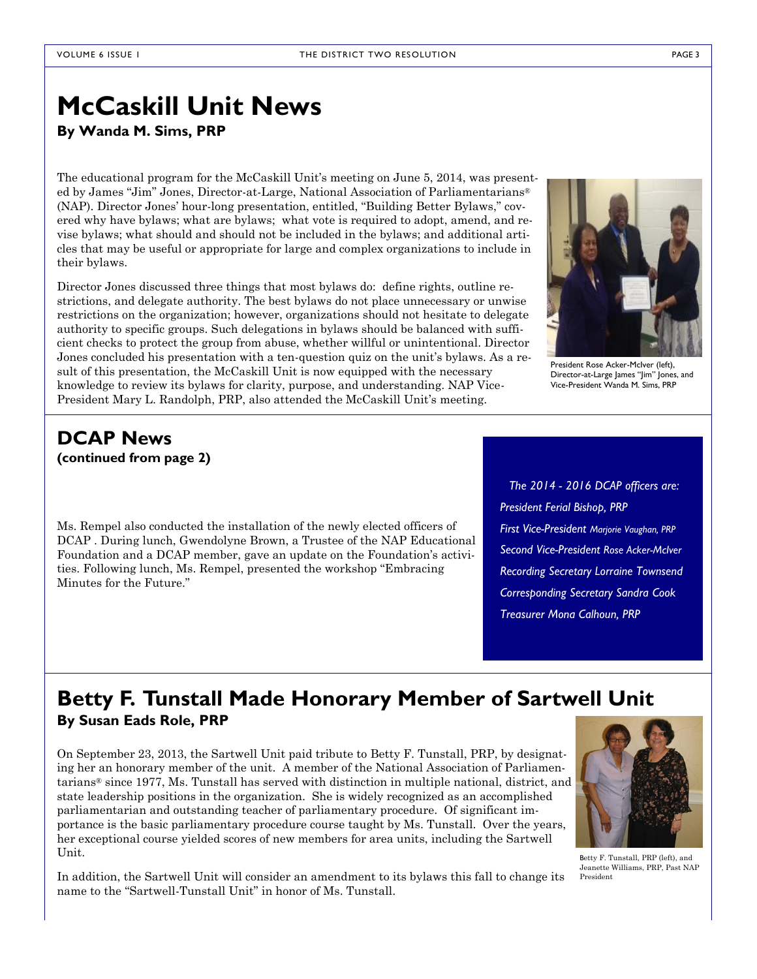# **McCaskill Unit News**

**By Wanda M. Sims, PRP**

The educational program for the McCaskill Unit's meeting on June 5, 2014, was presented by James "Jim" Jones, Director-at-Large, National Association of Parliamentarians® (NAP). Director Jones' hour-long presentation, entitled, "Building Better Bylaws," covered why have bylaws; what are bylaws; what vote is required to adopt, amend, and revise bylaws; what should and should not be included in the bylaws; and additional articles that may be useful or appropriate for large and complex organizations to include in their bylaws.

Director Jones discussed three things that most bylaws do: define rights, outline restrictions, and delegate authority. The best bylaws do not place unnecessary or unwise restrictions on the organization; however, organizations should not hesitate to delegate authority to specific groups. Such delegations in bylaws should be balanced with sufficient checks to protect the group from abuse, whether willful or unintentional. Director Jones concluded his presentation with a ten-question quiz on the unit's bylaws. As a result of this presentation, the McCaskill Unit is now equipped with the necessary knowledge to review its bylaws for clarity, purpose, and understanding. NAP Vice-President Mary L. Randolph, PRP, also attended the McCaskill Unit's meeting.



President Rose Acker-McIver (left), Director-at-Large James "Jim" Jones, and Vice-President Wanda M. Sims, PRP

### **DCAP News (continued from page 2)**

Ms. Rempel also conducted the installation of the newly elected officers of DCAP . During lunch, Gwendolyne Brown, a Trustee of the NAP Educational Foundation and a DCAP member, gave an update on the Foundation's activities. Following lunch, Ms. Rempel, presented the workshop "Embracing Minutes for the Future."

*The 2014 - 2016 DCAP officers are: President Ferial Bishop, PRP First Vice-President Marjorie Vaughan, PRP Second Vice-President Rose Acker-McIver Recording Secretary Lorraine Townsend Corresponding Secretary Sandra Cook Treasurer Mona Calhoun, PRP*

## **Betty F. Tunstall Made Honorary Member of Sartwell Unit By Susan Eads Role, PRP**

On September 23, 2013, the Sartwell Unit paid tribute to Betty F. Tunstall, PRP, by designating her an honorary member of the unit. A member of the National Association of Parliamentarians® since 1977, Ms. Tunstall has served with distinction in multiple national, district, and state leadership positions in the organization. She is widely recognized as an accomplished parliamentarian and outstanding teacher of parliamentary procedure. Of significant importance is the basic parliamentary procedure course taught by Ms. Tunstall. Over the years, her exceptional course yielded scores of new members for area units, including the Sartwell Unit.

In addition, the Sartwell Unit will consider an amendment to its bylaws this fall to change its name to the "Sartwell-Tunstall Unit" in honor of Ms. Tunstall.



Betty F. Tunstall, PRP (left), and Jeanette Williams, PRP, Past NAP President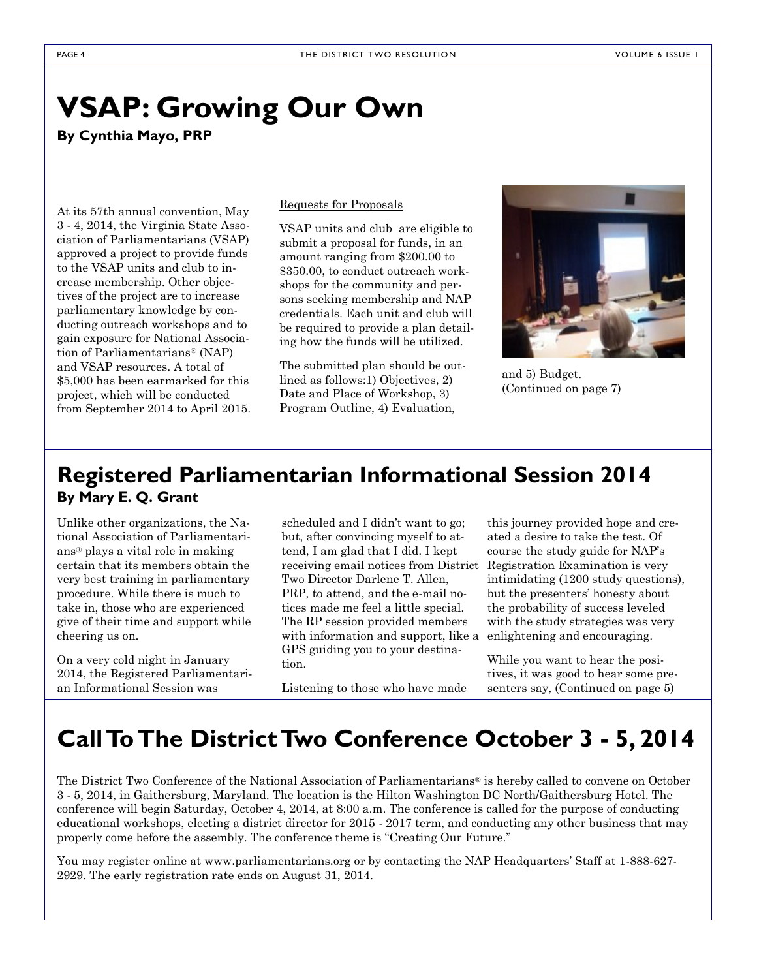# **VSAP: Growing Our Own**

**By Cynthia Mayo, PRP**

At its 57th annual convention, May 3 - 4, 2014, the Virginia State Association of Parliamentarians (VSAP) approved a project to provide funds to the VSAP units and club to increase membership. Other objectives of the project are to increase parliamentary knowledge by conducting outreach workshops and to gain exposure for National Association of Parliamentarians® (NAP) and VSAP resources. A total of \$5,000 has been earmarked for this project, which will be conducted from September 2014 to April 2015.

#### Requests for Proposals

VSAP units and club are eligible to submit a proposal for funds, in an amount ranging from \$200.00 to \$350.00, to conduct outreach workshops for the community and persons seeking membership and NAP credentials. Each unit and club will be required to provide a plan detailing how the funds will be utilized.

The submitted plan should be outlined as follows:1) Objectives, 2) Date and Place of Workshop, 3) Program Outline, 4) Evaluation,



and 5) Budget. (Continued on page 7)

# **Registered Parliamentarian Informational Session 2014 By Mary E. Q. Grant**

Unlike other organizations, the National Association of Parliamentarians® plays a vital role in making certain that its members obtain the very best training in parliamentary procedure. While there is much to take in, those who are experienced give of their time and support while cheering us on.

On a very cold night in January 2014, the Registered Parliamentarian Informational Session was

scheduled and I didn't want to go; but, after convincing myself to attend, I am glad that I did. I kept receiving email notices from District Registration Examination is very Two Director Darlene T. Allen, PRP, to attend, and the e-mail notices made me feel a little special. The RP session provided members with information and support, like a GPS guiding you to your destination.

Listening to those who have made

this journey provided hope and created a desire to take the test. Of course the study guide for NAP's intimidating (1200 study questions), but the presenters' honesty about the probability of success leveled with the study strategies was very enlightening and encouraging.

While you want to hear the positives, it was good to hear some presenters say, (Continued on page 5)

# **Call To The District Two Conference October 3 - 5, 2014**

The District Two Conference of the National Association of Parliamentarians® is hereby called to convene on October 3 - 5, 2014, in Gaithersburg, Maryland. The location is the Hilton Washington DC North/Gaithersburg Hotel. The conference will begin Saturday, October 4, 2014, at 8:00 a.m. The conference is called for the purpose of conducting educational workshops, electing a district director for 2015 - 2017 term, and conducting any other business that may properly come before the assembly. The conference theme is "Creating Our Future."

You may register online at www.parliamentarians.org or by contacting the NAP Headquarters' Staff at 1-888-627- 2929. The early registration rate ends on August 31, 2014.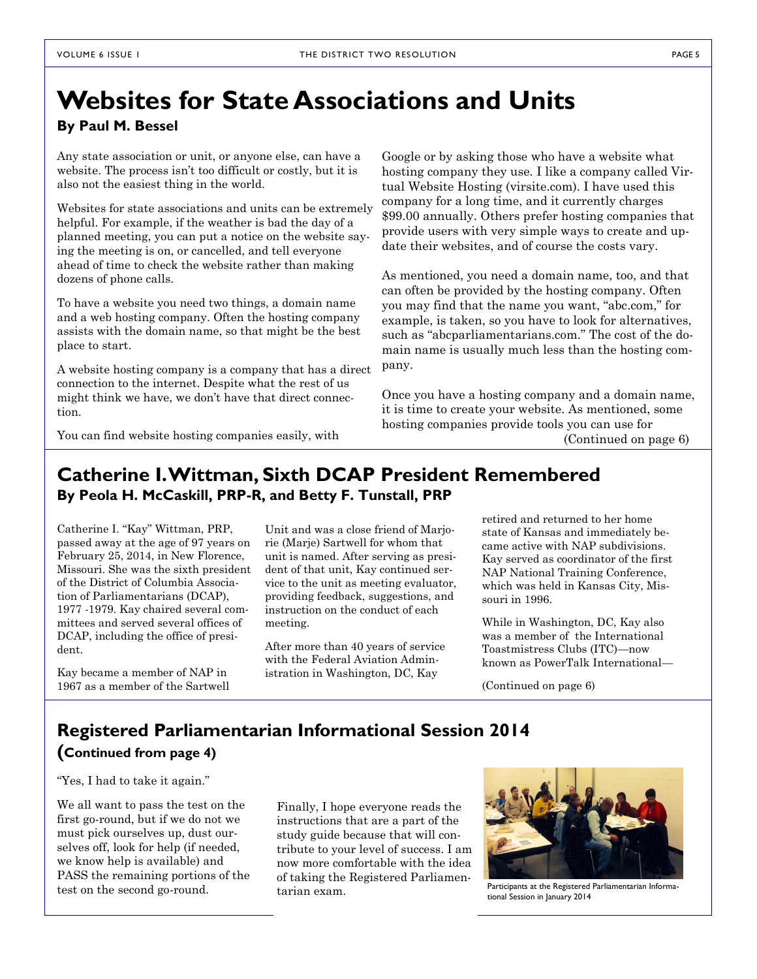# **Websites for State Associations and Units**

### **By Paul M. Bessel**

Any state association or unit, or anyone else, can have a website. The process isn't too difficult or costly, but it is also not the easiest thing in the world.

Websites for state associations and units can be extremely helpful. For example, if the weather is bad the day of a planned meeting, you can put a notice on the website saying the meeting is on, or cancelled, and tell everyone ahead of time to check the website rather than making dozens of phone calls.

To have a website you need two things, a domain name and a web hosting company. Often the hosting company assists with the domain name, so that might be the best place to start.

A website hosting company is a company that has a direct connection to the internet. Despite what the rest of us might think we have, we don't have that direct connection.

Google or by asking those who have a website what hosting company they use. I like a company called Virtual Website Hosting (virsite.com). I have used this company for a long time, and it currently charges \$99.00 annually. Others prefer hosting companies that provide users with very simple ways to create and update their websites, and of course the costs vary.

As mentioned, you need a domain name, too, and that can often be provided by the hosting company. Often you may find that the name you want, "abc.com," for example, is taken, so you have to look for alternatives, such as "abcparliamentarians.com." The cost of the domain name is usually much less than the hosting company.

Once you have a hosting company and a domain name, it is time to create your website. As mentioned, some hosting companies provide tools you can use for (Continued on page 6)

You can find website hosting companies easily, with

## **Catherine I. Wittman, Sixth DCAP President Remembered By Peola H. McCaskill, PRP-R, and Betty F. Tunstall, PRP**

Catherine I. "Kay" Wittman, PRP, passed away at the age of 97 years on February 25, 2014, in New Florence, Missouri. She was the sixth president of the District of Columbia Association of Parliamentarians (DCAP), 1977 -1979. Kay chaired several committees and served several offices of DCAP, including the office of president.

Kay became a member of NAP in 1967 as a member of the Sartwell Unit and was a close friend of Marjorie (Marje) Sartwell for whom that unit is named. After serving as president of that unit, Kay continued service to the unit as meeting evaluator, providing feedback, suggestions, and instruction on the conduct of each meeting.

After more than 40 years of service with the Federal Aviation Administration in Washington, DC, Kay

retired and returned to her home state of Kansas and immediately became active with NAP subdivisions. Kay served as coordinator of the first NAP National Training Conference, which was held in Kansas City, Missouri in 1996.

While in Washington, DC, Kay also was a member of the International Toastmistress Clubs (ITC)—now known as PowerTalk International—

(Continued on page 6)

## **Registered Parliamentarian Informational Session 2014**

### **(Continued from page 4)**

"Yes, I had to take it again."

We all want to pass the test on the first go-round, but if we do not we must pick ourselves up, dust ourselves off, look for help (if needed, we know help is available) and PASS the remaining portions of the test on the second go-round.

Finally, I hope everyone reads the instructions that are a part of the study guide because that will contribute to your level of success. I am now more comfortable with the idea of taking the Registered Parliamentarian exam.



Participants at the Registered Parliamentarian Informational Session in January 2014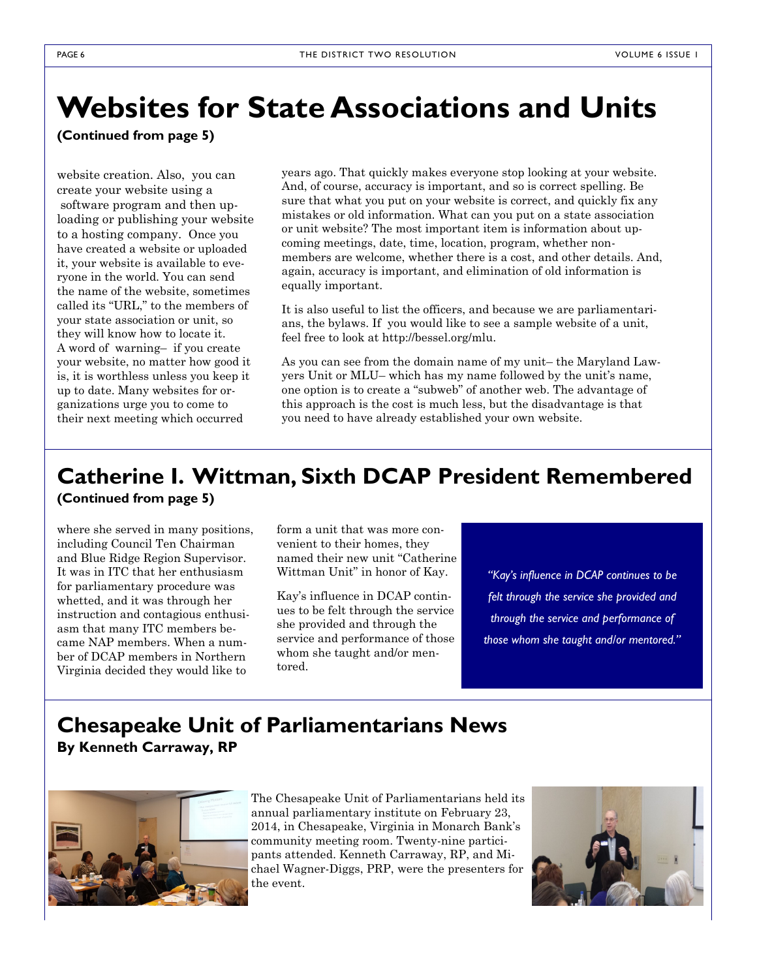# **Websites for State Associations and Units**

**(Continued from page 5)**

website creation. Also, you can create your website using a software program and then uploading or publishing your website to a hosting company. Once you have created a website or uploaded it, your website is available to everyone in the world. You can send the name of the website, sometimes called its "URL," to the members of your state association or unit, so they will know how to locate it. A word of warning– if you create your website, no matter how good it is, it is worthless unless you keep it up to date. Many websites for organizations urge you to come to their next meeting which occurred

years ago. That quickly makes everyone stop looking at your website. And, of course, accuracy is important, and so is correct spelling. Be sure that what you put on your website is correct, and quickly fix any mistakes or old information. What can you put on a state association or unit website? The most important item is information about upcoming meetings, date, time, location, program, whether nonmembers are welcome, whether there is a cost, and other details. And, again, accuracy is important, and elimination of old information is equally important.

It is also useful to list the officers, and because we are parliamentarians, the bylaws. If you would like to see a sample website of a unit, feel free to look at http://bessel.org/mlu.

As you can see from the domain name of my unit– the Maryland Lawyers Unit or MLU– which has my name followed by the unit's name, one option is to create a "subweb" of another web. The advantage of this approach is the cost is much less, but the disadvantage is that you need to have already established your own website.

# **Catherine I. Wittman, Sixth DCAP President Remembered (Continued from page 5)**

where she served in many positions, including Council Ten Chairman and Blue Ridge Region Supervisor. It was in ITC that her enthusiasm for parliamentary procedure was whetted, and it was through her instruction and contagious enthusiasm that many ITC members became NAP members. When a number of DCAP members in Northern Virginia decided they would like to

form a unit that was more convenient to their homes, they named their new unit "Catherine Wittman Unit" in honor of Kay.

Kay's influence in DCAP continues to be felt through the service she provided and through the service and performance of those whom she taught and/or mentored.

*"Kay's influence in DCAP continues to be felt through the service she provided and through the service and performance of those whom she taught and/or mentored."*

## **Chesapeake Unit of Parliamentarians News By Kenneth Carraway, RP**



The Chesapeake Unit of Parliamentarians held its annual parliamentary 23, 2014, in annual parliamentarians held its annual parliamentary 23, 2014, in annual parliamentarians held its chesapeake, Virginia in Monarch Bank's community meeting room. The community meeting room. The community meeting room. The community institute on February 23, **neth Carraway, RPP, and Michael Wagner-Diggs, PRP, 2014, in Chesapeake, Virginia in Monarch Bank's** community meeting room. Twenty-nine participants attended. Kenneth Carraway, RP, and Michael Wagner-Diggs, PRP, were the presenters for the event.

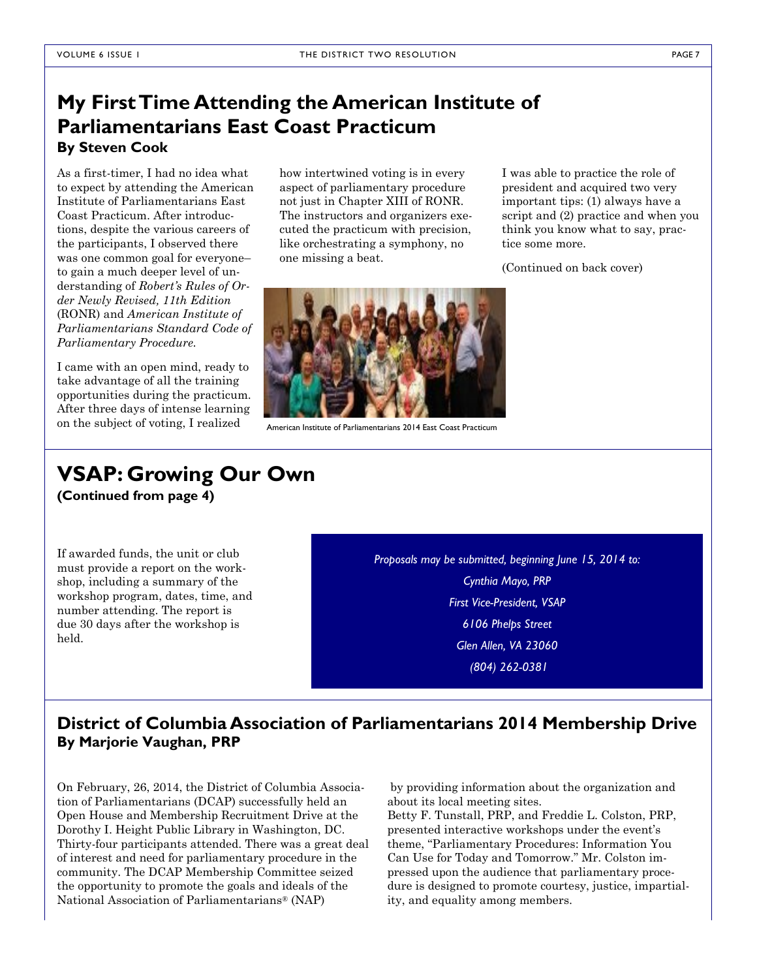## **My First Time Attending the American Institute of Parliamentarians East Coast Practicum By Steven Cook**

As a first-timer, I had no idea what to expect by attending the American Institute of Parliamentarians East Coast Practicum. After introductions, despite the various careers of the participants, I observed there was one common goal for everyone– to gain a much deeper level of understanding of *Robert's Rules of Order Newly Revised, 11th Edition*  (RONR) and *American Institute of Parliamentarians Standard Code of Parliamentary Procedure.*

I came with an open mind, ready to take advantage of all the training opportunities during the practicum. After three days of intense learning on the subject of voting, I realized

how intertwined voting is in every aspect of parliamentary procedure not just in Chapter XIII of RONR. The instructors and organizers executed the practicum with precision, like orchestrating a symphony, no one missing a beat.

I was able to practice the role of president and acquired two very important tips: (1) always have a script and (2) practice and when you think you know what to say, practice some more.

(Continued on back cover)



American Institute of Parliamentarians 2014 East Coast Practicum

### **VSAP: Growing Our Own (Continued from page 4)**

If awarded funds, the unit or club must provide a report on the workshop, including a summary of the workshop program, dates, time, and number attending. The report is due 30 days after the workshop is held.

*Proposals may be submitted, beginning June 15, 2014 to: Cynthia Mayo, PRP First Vice-President, VSAP 6106 Phelps Street Glen Allen, VA 23060 (804) 262-0381*

### **District of Columbia Association of Parliamentarians 2014 Membership Drive By Marjorie Vaughan, PRP**

On February, 26, 2014, the District of Columbia Association of Parliamentarians (DCAP) successfully held an Open House and Membership Recruitment Drive at the Dorothy I. Height Public Library in Washington, DC. Thirty-four participants attended. There was a great deal of interest and need for parliamentary procedure in the community. The DCAP Membership Committee seized the opportunity to promote the goals and ideals of the National Association of Parliamentarians® (NAP)

by providing information about the organization and about its local meeting sites.

Betty F. Tunstall, PRP, and Freddie L. Colston, PRP, presented interactive workshops under the event's theme, "Parliamentary Procedures: Information You Can Use for Today and Tomorrow." Mr. Colston impressed upon the audience that parliamentary procedure is designed to promote courtesy, justice, impartiality, and equality among members.